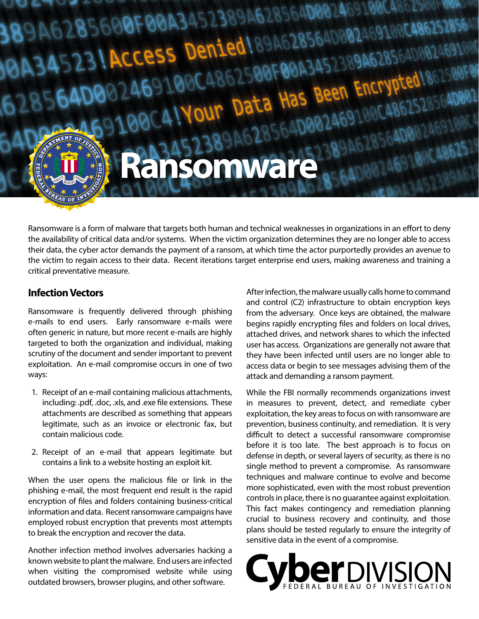A6285600F00A3452389A628564000246 85600F00A3452389A6285640002403100C486252856<br>231ACCess Denied189A628564D002469100C486252856 Cess Denied!89A628564000240320082469100<br>469100C4862500F00A3452389A6285640002469100 Mour Data Has Been Encrypted!86 16285640002469100C48625 **Ransomware**

Ransomware is a form of malware that targets both human and technical weaknesses in organizations in an effort to deny the availability of critical data and/or systems. When the victim organization determines they are no longer able to access their data, the cyber actor demands the payment of a ransom, at which time the actor purportedly provides an avenue to the victim to regain access to their data. Recent iterations target enterprise end users, making awareness and training a critical preventative measure.

### **Infection Vectors**

Ransomware is frequently delivered through phishing e-mails to end users. Early ransomware e-mails were often generic in nature, but more recent e-mails are highly targeted to both the organization and individual, making scrutiny of the document and sender important to prevent exploitation. An e-mail compromise occurs in one of two ways:

- 1. Receipt of an e-mail containing malicious attachments, including: .pdf, .doc, .xls, and .exe file extensions. These attachments are described as something that appears legitimate, such as an invoice or electronic fax, but contain malicious code.
- 2. Receipt of an e-mail that appears legitimate but contains a link to a website hosting an exploit kit.

When the user opens the malicious file or link in the phishing e-mail, the most frequent end result is the rapid encryption of files and folders containing business-critical information and data. Recent ransomware campaigns have employed robust encryption that prevents most attempts to break the encryption and recover the data.

Another infection method involves adversaries hacking a known website to plant the malware. End users are infected when visiting the compromised website while using outdated browsers, browser plugins, and other software.

After infection, the malware usually calls home to command and control (C2) infrastructure to obtain encryption keys from the adversary. Once keys are obtained, the malware begins rapidly encrypting files and folders on local drives, attached drives, and network shares to which the infected user has access. Organizations are generally not aware that they have been infected until users are no longer able to access data or begin to see messages advising them of the attack and demanding a ransom payment.

While the FBI normally recommends organizations invest in measures to prevent, detect, and remediate cyber exploitation, the key areas to focus on with ransomware are prevention, business continuity, and remediation. It is very difficult to detect a successful ransomware compromise before it is too late. The best approach is to focus on defense in depth, or several layers of security, as there is no single method to prevent a compromise. As ransomware techniques and malware continue to evolve and become more sophisticated, even with the most robust prevention controls in place, there is no guarantee against exploitation. This fact makes contingency and remediation planning crucial to business recovery and continuity, and those plans should be tested regularly to ensure the integrity of sensitive data in the event of a compromise.